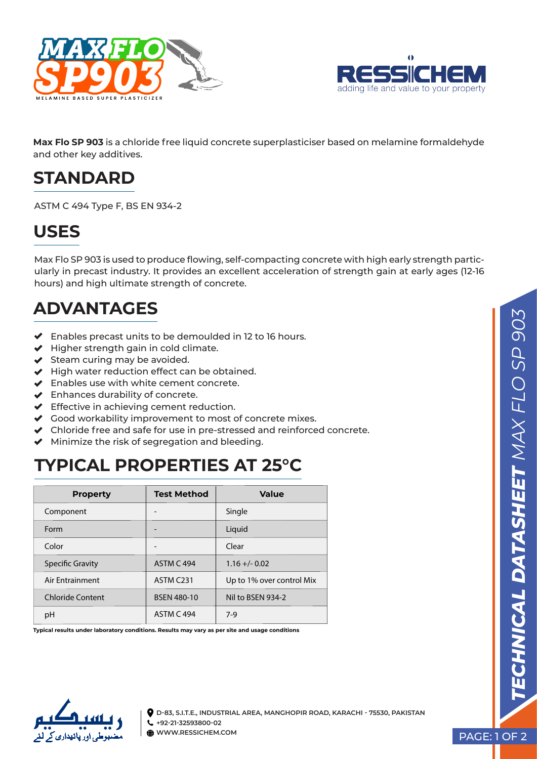



**Max Flo SP 903** is a chloride free liquid concrete superplasticiser based on melamine formaldehyde and other key additives.

#### **STANDARD**

ASTM C 494 Type F, BS EN 934-2

#### **USES**

Max Flo SP 903 is used to produce flowing, self-compacting concrete with high early strength particularly in precast industry. It provides an excellent acceleration of strength gain at early ages (12-16 hours) and high ultimate strength of concrete.

# **ADVANTAGES**

- Enables precast units to be demoulded in 12 to 16 hours.
- $\blacktriangleright$  Higher strength gain in cold climate.
- $\blacktriangleright$  Steam curing may be avoided.
- $\blacktriangleright$  High water reduction effect can be obtained.
- ◆ Enables use with white cement concrete.
- Enhances durability of concrete.
- ◆ Effective in achieving cement reduction.
- Good workability improvement to most of concrete mixes.
- Chloride free and safe for use in pre-stressed and reinforced concrete.
- $\blacktriangleright$  Minimize the risk of segregation and bleeding.

#### **TYPICAL PROPERTIES AT 25°C**

| <b>Property</b>         | <b>Test Method</b> | Value                     |
|-------------------------|--------------------|---------------------------|
| Component               |                    | Single                    |
| Form                    |                    | Liquid                    |
| Color                   |                    | Clear                     |
| <b>Specific Gravity</b> | <b>ASTM C 494</b>  | $1.16 + (-0.02)$          |
| Air Entrainment         | ASTM C231          | Up to 1% over control Mix |
| <b>Chloride Content</b> | <b>BSEN 480-10</b> | Nil to BSEN 934-2         |
| pH                      | <b>ASTM C 494</b>  | $7-9$                     |

**Typical results under laboratory conditions. Results may vary as per site and usage conditions**